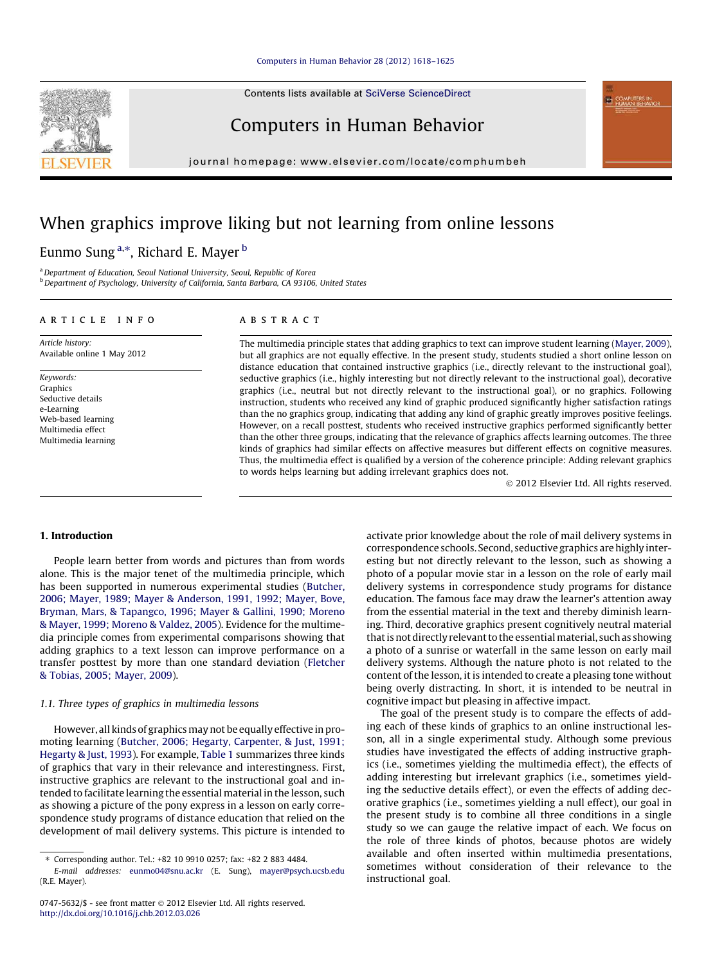Contents lists available at SciVerse ScienceDirect

# Computers in Human Behavior

journal homepage: www.elsevier.com/locate/comphumbeh

# When graphics improve liking but not learning from online lessons

# Eunmo Sung<sup>a,</sup>\*, Richard E. Mayer <sup>b</sup>

<sup>a</sup> Department of Education, Seoul National University, Seoul, Republic of Korea **b** Department of Psychology, University of California, Santa Barbara, CA 93106, United States

# article info

# **ABSTRACT**

Article history: Available online 1 May 2012

Keywords: Graphics Seductive details e-Learning Web-based learning Multimedia effect Multimedia learning The multimedia principle states that adding graphics to text can improve student learning (Mayer, 2009), but all graphics are not equally effective. In the present study, students studied a short online lesson on distance education that contained instructive graphics (i.e., directly relevant to the instructional goal), seductive graphics (i.e., highly interesting but not directly relevant to the instructional goal), decorative graphics (i.e., neutral but not directly relevant to the instructional goal), or no graphics. Following instruction, students who received any kind of graphic produced significantly higher satisfaction ratings than the no graphics group, indicating that adding any kind of graphic greatly improves positive feelings. However, on a recall posttest, students who received instructive graphics performed significantly better than the other three groups, indicating that the relevance of graphics affects learning outcomes. The three kinds of graphics had similar effects on affective measures but different effects on cognitive measures. Thus, the multimedia effect is qualified by a version of the coherence principle: Adding relevant graphics to words helps learning but adding irrelevant graphics does not.

 $@$  2012 Elsevier Ltd. All rights reserved.

## 1. Introduction

People learn better from words and pictures than from words alone. This is the major tenet of the multimedia principle, which has been supported in numerous experimental studies (Butcher, 2006; Mayer, 1989; Mayer & Anderson, 1991, 1992; Mayer, Bove, Bryman, Mars, & Tapangco, 1996; Mayer & Gallini, 1990; Moreno & Mayer, 1999; Moreno & Valdez, 2005). Evidence for the multimedia principle comes from experimental comparisons showing that adding graphics to a text lesson can improve performance on a transfer posttest by more than one standard deviation (Fletcher & Tobias, 2005; Mayer, 2009).

# 1.1. Three types of graphics in multimedia lessons

However, all kinds of graphics may not be equally effective in promoting learning (Butcher, 2006; Hegarty, Carpenter, & Just, 1991; Hegarty & Just, 1993). For example, Table 1 summarizes three kinds of graphics that vary in their relevance and interestingness. First, instructive graphics are relevant to the instructional goal and intended to facilitate learning the essential material in the lesson, such as showing a picture of the pony express in a lesson on early correspondence study programs of distance education that relied on the development of mail delivery systems. This picture is intended to activate prior knowledge about the role of mail delivery systems in correspondence schools. Second, seductive graphics are highly interesting but not directly relevant to the lesson, such as showing a photo of a popular movie star in a lesson on the role of early mail delivery systems in correspondence study programs for distance education. The famous face may draw the learner's attention away from the essential material in the text and thereby diminish learning. Third, decorative graphics present cognitively neutral material that is not directly relevant to the essential material, such as showing a photo of a sunrise or waterfall in the same lesson on early mail delivery systems. Although the nature photo is not related to the content of the lesson, it is intended to create a pleasing tone without being overly distracting. In short, it is intended to be neutral in cognitive impact but pleasing in affective impact.

The goal of the present study is to compare the effects of adding each of these kinds of graphics to an online instructional lesson, all in a single experimental study. Although some previous studies have investigated the effects of adding instructive graphics (i.e., sometimes yielding the multimedia effect), the effects of adding interesting but irrelevant graphics (i.e., sometimes yielding the seductive details effect), or even the effects of adding decorative graphics (i.e., sometimes yielding a null effect), our goal in the present study is to combine all three conditions in a single study so we can gauge the relative impact of each. We focus on the role of three kinds of photos, because photos are widely available and often inserted within multimedia presentations, sometimes without consideration of their relevance to the instructional goal.



<sup>⇑</sup> Corresponding author. Tel.: +82 10 9910 0257; fax: +82 2 883 4484.

E-mail addresses: eunmo04@snu.ac.kr (E. Sung), mayer@psych.ucsb.edu (R.E. Mayer).

<sup>0747-5632/\$ -</sup> see front matter @ 2012 Elsevier Ltd. All rights reserved. http://dx.doi.org/10.1016/j.chb.2012.03.026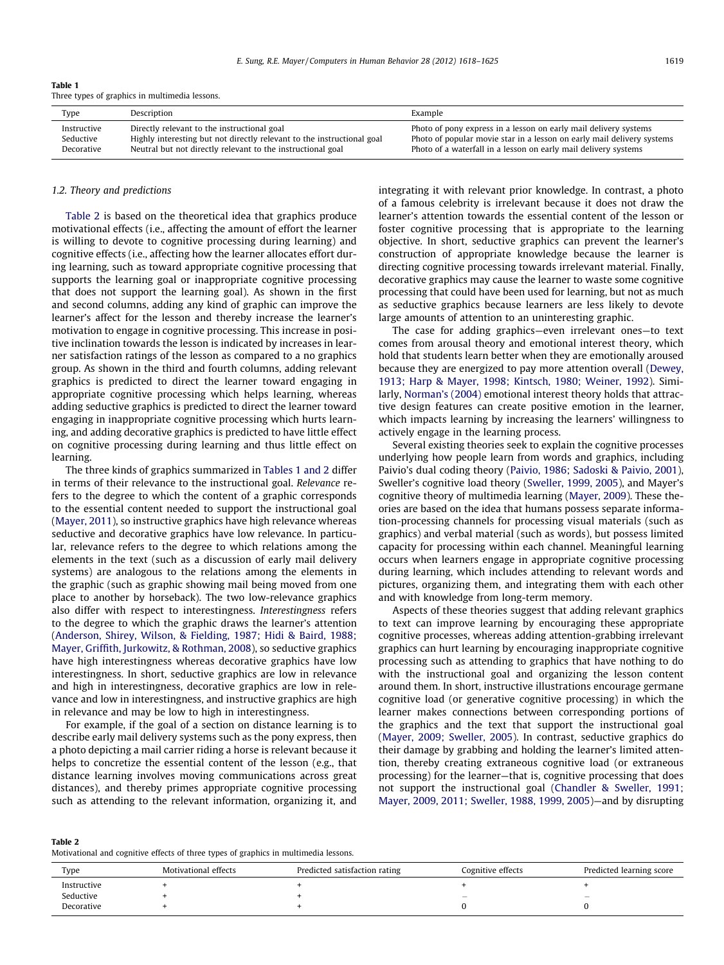| Table 1 |                                                |  |
|---------|------------------------------------------------|--|
|         | Three types of graphics in multimedia lessons. |  |

| Type        | Description                                                            | Example                                                                |
|-------------|------------------------------------------------------------------------|------------------------------------------------------------------------|
| Instructive | Directly relevant to the instructional goal                            | Photo of pony express in a lesson on early mail delivery systems       |
| Seductive   | Highly interesting but not directly relevant to the instructional goal | Photo of popular movie star in a lesson on early mail delivery systems |
| Decorative  | Neutral but not directly relevant to the instructional goal            | Photo of a waterfall in a lesson on early mail delivery systems        |

## 1.2. Theory and predictions

Table 2 is based on the theoretical idea that graphics produce motivational effects (i.e., affecting the amount of effort the learner is willing to devote to cognitive processing during learning) and cognitive effects (i.e., affecting how the learner allocates effort during learning, such as toward appropriate cognitive processing that supports the learning goal or inappropriate cognitive processing that does not support the learning goal). As shown in the first and second columns, adding any kind of graphic can improve the learner's affect for the lesson and thereby increase the learner's motivation to engage in cognitive processing. This increase in positive inclination towards the lesson is indicated by increases in learner satisfaction ratings of the lesson as compared to a no graphics group. As shown in the third and fourth columns, adding relevant graphics is predicted to direct the learner toward engaging in appropriate cognitive processing which helps learning, whereas adding seductive graphics is predicted to direct the learner toward engaging in inappropriate cognitive processing which hurts learning, and adding decorative graphics is predicted to have little effect on cognitive processing during learning and thus little effect on learning.

The three kinds of graphics summarized in Tables 1 and 2 differ in terms of their relevance to the instructional goal. Relevance refers to the degree to which the content of a graphic corresponds to the essential content needed to support the instructional goal (Mayer, 2011), so instructive graphics have high relevance whereas seductive and decorative graphics have low relevance. In particular, relevance refers to the degree to which relations among the elements in the text (such as a discussion of early mail delivery systems) are analogous to the relations among the elements in the graphic (such as graphic showing mail being moved from one place to another by horseback). The two low-relevance graphics also differ with respect to interestingness. Interestingness refers to the degree to which the graphic draws the learner's attention (Anderson, Shirey, Wilson, & Fielding, 1987; Hidi & Baird, 1988; Mayer, Griffith, Jurkowitz, & Rothman, 2008), so seductive graphics have high interestingness whereas decorative graphics have low interestingness. In short, seductive graphics are low in relevance and high in interestingness, decorative graphics are low in relevance and low in interestingness, and instructive graphics are high in relevance and may be low to high in interestingness.

For example, if the goal of a section on distance learning is to describe early mail delivery systems such as the pony express, then a photo depicting a mail carrier riding a horse is relevant because it helps to concretize the essential content of the lesson (e.g., that distance learning involves moving communications across great distances), and thereby primes appropriate cognitive processing such as attending to the relevant information, organizing it, and integrating it with relevant prior knowledge. In contrast, a photo of a famous celebrity is irrelevant because it does not draw the learner's attention towards the essential content of the lesson or foster cognitive processing that is appropriate to the learning objective. In short, seductive graphics can prevent the learner's construction of appropriate knowledge because the learner is directing cognitive processing towards irrelevant material. Finally, decorative graphics may cause the learner to waste some cognitive processing that could have been used for learning, but not as much as seductive graphics because learners are less likely to devote large amounts of attention to an uninteresting graphic.

The case for adding graphics—even irrelevant ones—to text comes from arousal theory and emotional interest theory, which hold that students learn better when they are emotionally aroused because they are energized to pay more attention overall (Dewey, 1913; Harp & Mayer, 1998; Kintsch, 1980; Weiner, 1992). Similarly, Norman's (2004) emotional interest theory holds that attractive design features can create positive emotion in the learner, which impacts learning by increasing the learners' willingness to actively engage in the learning process.

Several existing theories seek to explain the cognitive processes underlying how people learn from words and graphics, including Paivio's dual coding theory (Paivio, 1986; Sadoski & Paivio, 2001), Sweller's cognitive load theory (Sweller, 1999, 2005), and Mayer's cognitive theory of multimedia learning (Mayer, 2009). These theories are based on the idea that humans possess separate information-processing channels for processing visual materials (such as graphics) and verbal material (such as words), but possess limited capacity for processing within each channel. Meaningful learning occurs when learners engage in appropriate cognitive processing during learning, which includes attending to relevant words and pictures, organizing them, and integrating them with each other and with knowledge from long-term memory.

Aspects of these theories suggest that adding relevant graphics to text can improve learning by encouraging these appropriate cognitive processes, whereas adding attention-grabbing irrelevant graphics can hurt learning by encouraging inappropriate cognitive processing such as attending to graphics that have nothing to do with the instructional goal and organizing the lesson content around them. In short, instructive illustrations encourage germane cognitive load (or generative cognitive processing) in which the learner makes connections between corresponding portions of the graphics and the text that support the instructional goal (Mayer, 2009; Sweller, 2005). In contrast, seductive graphics do their damage by grabbing and holding the learner's limited attention, thereby creating extraneous cognitive load (or extraneous processing) for the learner—that is, cognitive processing that does not support the instructional goal (Chandler & Sweller, 1991; Mayer, 2009, 2011; Sweller, 1988, 1999, 2005)—and by disrupting

Table 2 Motivational and cognitive effects of three types of graphics in multimedia lessons.

| Type        | Motivational effects | Predicted satisfaction rating |                          | Predicted learning score |  |
|-------------|----------------------|-------------------------------|--------------------------|--------------------------|--|
| Instructive |                      |                               |                          |                          |  |
| Seductive   |                      |                               | $\overline{\phantom{a}}$ | -                        |  |
| Decorative  |                      |                               |                          |                          |  |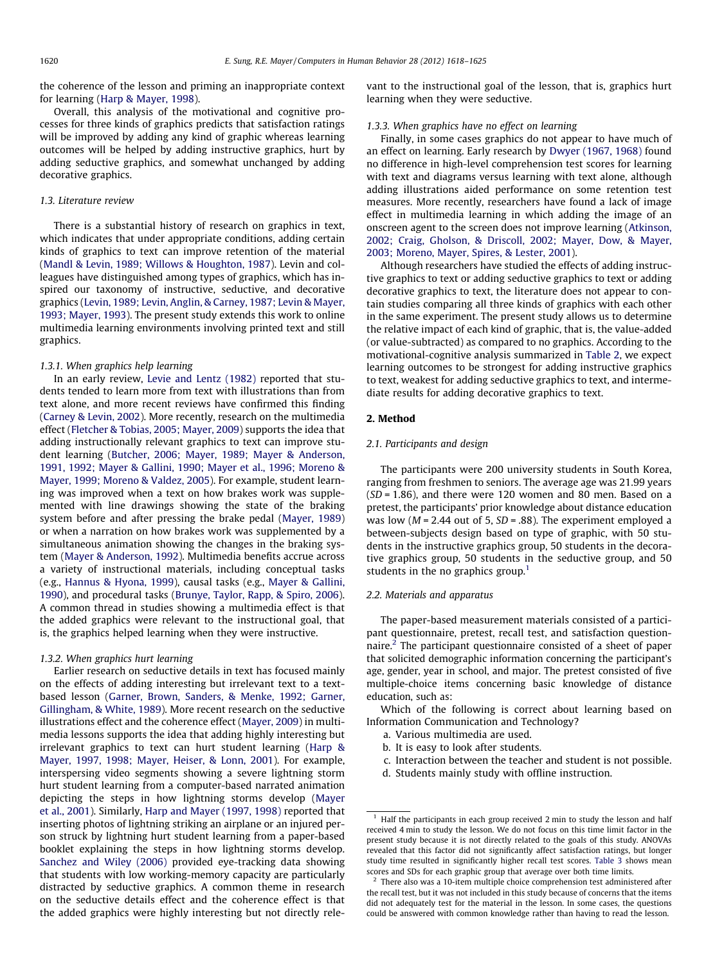the coherence of the lesson and priming an inappropriate context for learning (Harp & Mayer, 1998).

Overall, this analysis of the motivational and cognitive processes for three kinds of graphics predicts that satisfaction ratings will be improved by adding any kind of graphic whereas learning outcomes will be helped by adding instructive graphics, hurt by adding seductive graphics, and somewhat unchanged by adding decorative graphics.

# 1.3. Literature review

There is a substantial history of research on graphics in text, which indicates that under appropriate conditions, adding certain kinds of graphics to text can improve retention of the material (Mandl & Levin, 1989; Willows & Houghton, 1987). Levin and colleagues have distinguished among types of graphics, which has inspired our taxonomy of instructive, seductive, and decorative graphics (Levin, 1989; Levin, Anglin, & Carney, 1987; Levin & Mayer, 1993; Mayer, 1993). The present study extends this work to online multimedia learning environments involving printed text and still graphics.

## 1.3.1. When graphics help learning

In an early review, Levie and Lentz (1982) reported that students tended to learn more from text with illustrations than from text alone, and more recent reviews have confirmed this finding (Carney & Levin, 2002). More recently, research on the multimedia effect (Fletcher & Tobias, 2005; Mayer, 2009) supports the idea that adding instructionally relevant graphics to text can improve student learning (Butcher, 2006; Mayer, 1989; Mayer & Anderson, 1991, 1992; Mayer & Gallini, 1990; Mayer et al., 1996; Moreno & Mayer, 1999; Moreno & Valdez, 2005). For example, student learning was improved when a text on how brakes work was supplemented with line drawings showing the state of the braking system before and after pressing the brake pedal (Mayer, 1989) or when a narration on how brakes work was supplemented by a simultaneous animation showing the changes in the braking system (Mayer & Anderson, 1992). Multimedia benefits accrue across a variety of instructional materials, including conceptual tasks (e.g., Hannus & Hyona, 1999), causal tasks (e.g., Mayer & Gallini, 1990), and procedural tasks (Brunye, Taylor, Rapp, & Spiro, 2006). A common thread in studies showing a multimedia effect is that the added graphics were relevant to the instructional goal, that is, the graphics helped learning when they were instructive.

## 1.3.2. When graphics hurt learning

Earlier research on seductive details in text has focused mainly on the effects of adding interesting but irrelevant text to a textbased lesson (Garner, Brown, Sanders, & Menke, 1992; Garner, Gillingham, & White, 1989). More recent research on the seductive illustrations effect and the coherence effect (Mayer, 2009) in multimedia lessons supports the idea that adding highly interesting but irrelevant graphics to text can hurt student learning (Harp & Mayer, 1997, 1998; Mayer, Heiser, & Lonn, 2001). For example, interspersing video segments showing a severe lightning storm hurt student learning from a computer-based narrated animation depicting the steps in how lightning storms develop (Mayer et al., 2001). Similarly, Harp and Mayer (1997, 1998) reported that inserting photos of lightning striking an airplane or an injured person struck by lightning hurt student learning from a paper-based booklet explaining the steps in how lightning storms develop. Sanchez and Wiley (2006) provided eye-tracking data showing that students with low working-memory capacity are particularly distracted by seductive graphics. A common theme in research on the seductive details effect and the coherence effect is that the added graphics were highly interesting but not directly relevant to the instructional goal of the lesson, that is, graphics hurt learning when they were seductive.

### 1.3.3. When graphics have no effect on learning

Finally, in some cases graphics do not appear to have much of an effect on learning. Early research by Dwyer (1967, 1968) found no difference in high-level comprehension test scores for learning with text and diagrams versus learning with text alone, although adding illustrations aided performance on some retention test measures. More recently, researchers have found a lack of image effect in multimedia learning in which adding the image of an onscreen agent to the screen does not improve learning (Atkinson, 2002; Craig, Gholson, & Driscoll, 2002; Mayer, Dow, & Mayer, 2003; Moreno, Mayer, Spires, & Lester, 2001).

Although researchers have studied the effects of adding instructive graphics to text or adding seductive graphics to text or adding decorative graphics to text, the literature does not appear to contain studies comparing all three kinds of graphics with each other in the same experiment. The present study allows us to determine the relative impact of each kind of graphic, that is, the value-added (or value-subtracted) as compared to no graphics. According to the motivational-cognitive analysis summarized in Table 2, we expect learning outcomes to be strongest for adding instructive graphics to text, weakest for adding seductive graphics to text, and intermediate results for adding decorative graphics to text.

## 2. Method

## 2.1. Participants and design

The participants were 200 university students in South Korea, ranging from freshmen to seniors. The average age was 21.99 years  $(SD = 1.86)$ , and there were 120 women and 80 men. Based on a pretest, the participants' prior knowledge about distance education was low ( $M = 2.44$  out of 5,  $SD = .88$ ). The experiment employed a between-subjects design based on type of graphic, with 50 students in the instructive graphics group, 50 students in the decorative graphics group, 50 students in the seductive group, and 50 students in the no graphics group. $<sup>1</sup>$ </sup>

## 2.2. Materials and apparatus

The paper-based measurement materials consisted of a participant questionnaire, pretest, recall test, and satisfaction questionnaire.<sup>2</sup> The participant questionnaire consisted of a sheet of paper that solicited demographic information concerning the participant's age, gender, year in school, and major. The pretest consisted of five multiple-choice items concerning basic knowledge of distance education, such as:

Which of the following is correct about learning based on Information Communication and Technology?

- a. Various multimedia are used.
- b. It is easy to look after students.
- c. Interaction between the teacher and student is not possible.
- d. Students mainly study with offline instruction.

 $1$  Half the participants in each group received 2 min to study the lesson and half received 4 min to study the lesson. We do not focus on this time limit factor in the present study because it is not directly related to the goals of this study. ANOVAs revealed that this factor did not significantly affect satisfaction ratings, but longer study time resulted in significantly higher recall test scores. Table 3 shows mean scores and SDs for each graphic group that average over both time limits.

 $2$  There also was a 10-item multiple choice comprehension test administered after the recall test, but it was not included in this study because of concerns that the items did not adequately test for the material in the lesson. In some cases, the questions could be answered with common knowledge rather than having to read the lesson.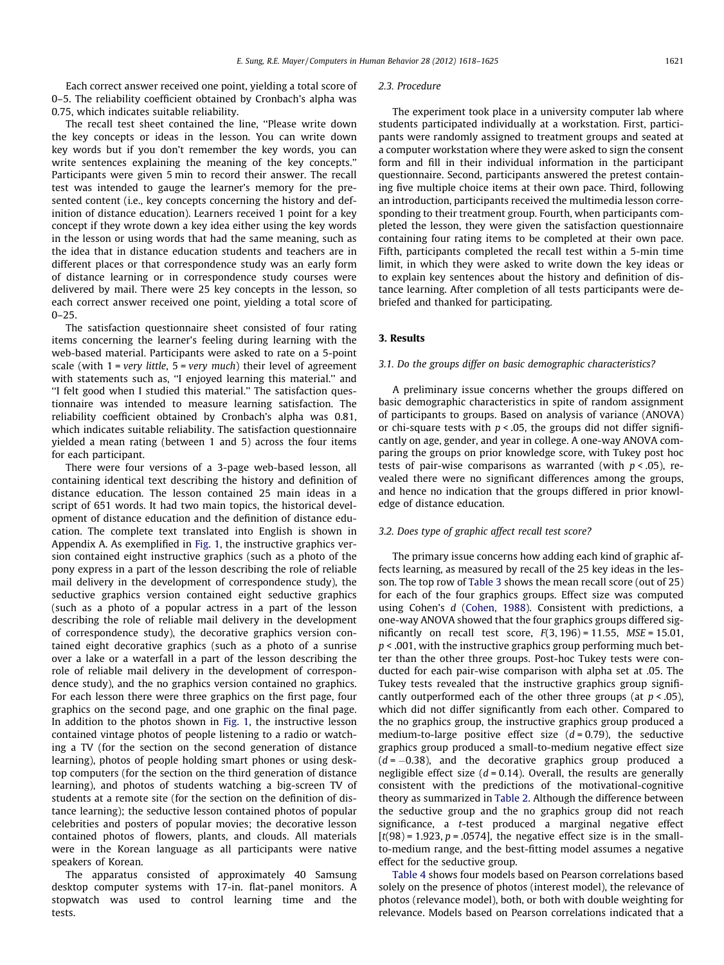Each correct answer received one point, yielding a total score of 0–5. The reliability coefficient obtained by Cronbach's alpha was 0.75, which indicates suitable reliability.

The recall test sheet contained the line, ''Please write down the key concepts or ideas in the lesson. You can write down key words but if you don't remember the key words, you can write sentences explaining the meaning of the key concepts.'' Participants were given 5 min to record their answer. The recall test was intended to gauge the learner's memory for the presented content (i.e., key concepts concerning the history and definition of distance education). Learners received 1 point for a key concept if they wrote down a key idea either using the key words in the lesson or using words that had the same meaning, such as the idea that in distance education students and teachers are in different places or that correspondence study was an early form of distance learning or in correspondence study courses were delivered by mail. There were 25 key concepts in the lesson, so each correct answer received one point, yielding a total score of 0–25.

The satisfaction questionnaire sheet consisted of four rating items concerning the learner's feeling during learning with the web-based material. Participants were asked to rate on a 5-point scale (with  $1 = \text{very little}, 5 = \text{very much}$ ) their level of agreement with statements such as, ''I enjoyed learning this material.'' and ''I felt good when I studied this material.'' The satisfaction questionnaire was intended to measure learning satisfaction. The reliability coefficient obtained by Cronbach's alpha was 0.81, which indicates suitable reliability. The satisfaction questionnaire yielded a mean rating (between 1 and 5) across the four items for each participant.

There were four versions of a 3-page web-based lesson, all containing identical text describing the history and definition of distance education. The lesson contained 25 main ideas in a script of 651 words. It had two main topics, the historical development of distance education and the definition of distance education. The complete text translated into English is shown in Appendix A. As exemplified in Fig. 1, the instructive graphics version contained eight instructive graphics (such as a photo of the pony express in a part of the lesson describing the role of reliable mail delivery in the development of correspondence study), the seductive graphics version contained eight seductive graphics (such as a photo of a popular actress in a part of the lesson describing the role of reliable mail delivery in the development of correspondence study), the decorative graphics version contained eight decorative graphics (such as a photo of a sunrise over a lake or a waterfall in a part of the lesson describing the role of reliable mail delivery in the development of correspondence study), and the no graphics version contained no graphics. For each lesson there were three graphics on the first page, four graphics on the second page, and one graphic on the final page. In addition to the photos shown in Fig. 1, the instructive lesson contained vintage photos of people listening to a radio or watching a TV (for the section on the second generation of distance learning), photos of people holding smart phones or using desktop computers (for the section on the third generation of distance learning), and photos of students watching a big-screen TV of students at a remote site (for the section on the definition of distance learning); the seductive lesson contained photos of popular celebrities and posters of popular movies; the decorative lesson contained photos of flowers, plants, and clouds. All materials were in the Korean language as all participants were native speakers of Korean.

The apparatus consisted of approximately 40 Samsung desktop computer systems with 17-in. flat-panel monitors. A stopwatch was used to control learning time and the tests.

### 2.3. Procedure

The experiment took place in a university computer lab where students participated individually at a workstation. First, participants were randomly assigned to treatment groups and seated at a computer workstation where they were asked to sign the consent form and fill in their individual information in the participant questionnaire. Second, participants answered the pretest containing five multiple choice items at their own pace. Third, following an introduction, participants received the multimedia lesson corresponding to their treatment group. Fourth, when participants completed the lesson, they were given the satisfaction questionnaire containing four rating items to be completed at their own pace. Fifth, participants completed the recall test within a 5-min time limit, in which they were asked to write down the key ideas or to explain key sentences about the history and definition of distance learning. After completion of all tests participants were debriefed and thanked for participating.

## 3. Results

## 3.1. Do the groups differ on basic demographic characteristics?

A preliminary issue concerns whether the groups differed on basic demographic characteristics in spite of random assignment of participants to groups. Based on analysis of variance (ANOVA) or chi-square tests with  $p < .05$ , the groups did not differ significantly on age, gender, and year in college. A one-way ANOVA comparing the groups on prior knowledge score, with Tukey post hoc tests of pair-wise comparisons as warranted (with  $p < .05$ ), revealed there were no significant differences among the groups, and hence no indication that the groups differed in prior knowledge of distance education.

## 3.2. Does type of graphic affect recall test score?

The primary issue concerns how adding each kind of graphic affects learning, as measured by recall of the 25 key ideas in the lesson. The top row of Table 3 shows the mean recall score (out of 25) for each of the four graphics groups. Effect size was computed using Cohen's d (Cohen, 1988). Consistent with predictions, a one-way ANOVA showed that the four graphics groups differed significantly on recall test score,  $F(3, 196) = 11.55$ ,  $MSE = 15.01$ ,  $p < .001$ , with the instructive graphics group performing much better than the other three groups. Post-hoc Tukey tests were conducted for each pair-wise comparison with alpha set at .05. The Tukey tests revealed that the instructive graphics group significantly outperformed each of the other three groups (at  $p < .05$ ), which did not differ significantly from each other. Compared to the no graphics group, the instructive graphics group produced a medium-to-large positive effect size  $(d=0.79)$ , the seductive graphics group produced a small-to-medium negative effect size  $(d = -0.38)$ , and the decorative graphics group produced a negligible effect size  $(d = 0.14)$ . Overall, the results are generally consistent with the predictions of the motivational-cognitive theory as summarized in Table 2. Although the difference between the seductive group and the no graphics group did not reach significance, a t-test produced a marginal negative effect  $[t(98) = 1.923, p = .0574]$ , the negative effect size is in the smallto-medium range, and the best-fitting model assumes a negative effect for the seductive group.

Table 4 shows four models based on Pearson correlations based solely on the presence of photos (interest model), the relevance of photos (relevance model), both, or both with double weighting for relevance. Models based on Pearson correlations indicated that a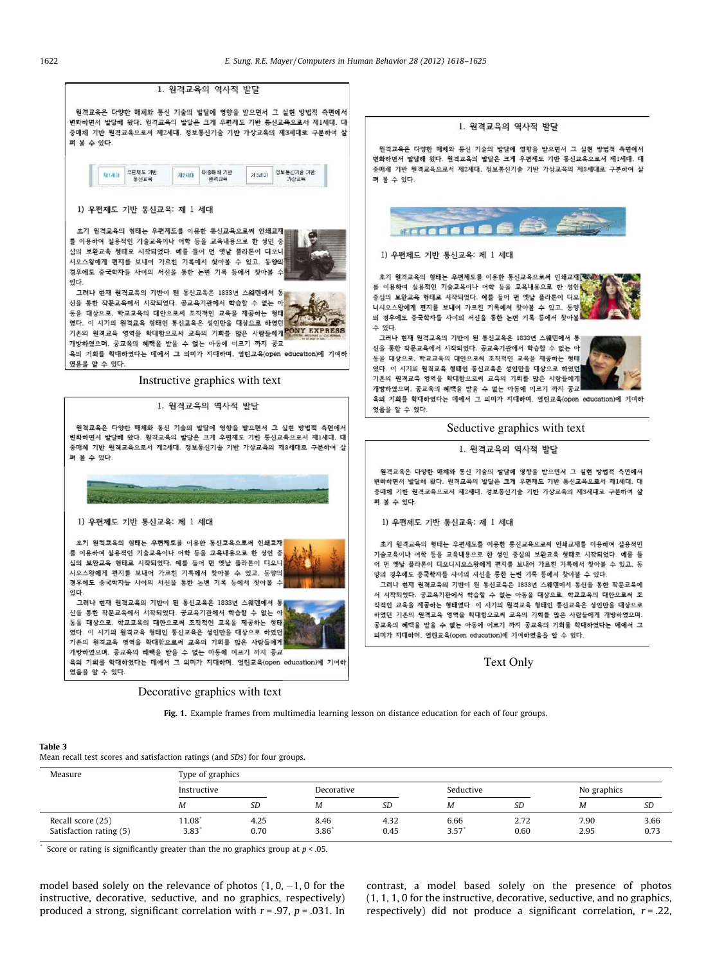

Text Only

Fig. 1. Example frames from multimedia learning lesson on distance education for each of four groups.

#### Table 3

였음을 알 수 있다.

Mean recall test scores and satisfaction ratings (and SDs) for four groups.

Decorative graphics with text

| Measure                                      |                  | Type of graphics |                 |              |              |              |              |              |  |
|----------------------------------------------|------------------|------------------|-----------------|--------------|--------------|--------------|--------------|--------------|--|
|                                              | Instructive      |                  | Decorative      |              | Seductive    |              | No graphics  |              |  |
|                                              | M                | SD               | M               | <b>SD</b>    | М            | <b>SD</b>    | M            | SD           |  |
| Recall score (25)<br>Satisfaction rating (5) | 11.08<br>$3.83*$ | 4.25<br>0.70     | 8.46<br>$3.86*$ | 4.32<br>0.45 | 6.66<br>3.57 | 2.72<br>0.60 | 7.90<br>2.95 | 3.66<br>0.73 |  |

\* Score or rating is significantly greater than the no graphics group at  $p < .05$ .

model based solely on the relevance of photos  $(1, 0, -1, 0)$  for the instructive, decorative, seductive, and no graphics, respectively) produced a strong, significant correlation with  $r = .97$ ,  $p = .031$ . In

contrast, a model based solely on the presence of photos (1, 1, 1, 0 for the instructive, decorative, seductive, and no graphics, respectively) did not produce a significant correlation,  $r = .22$ ,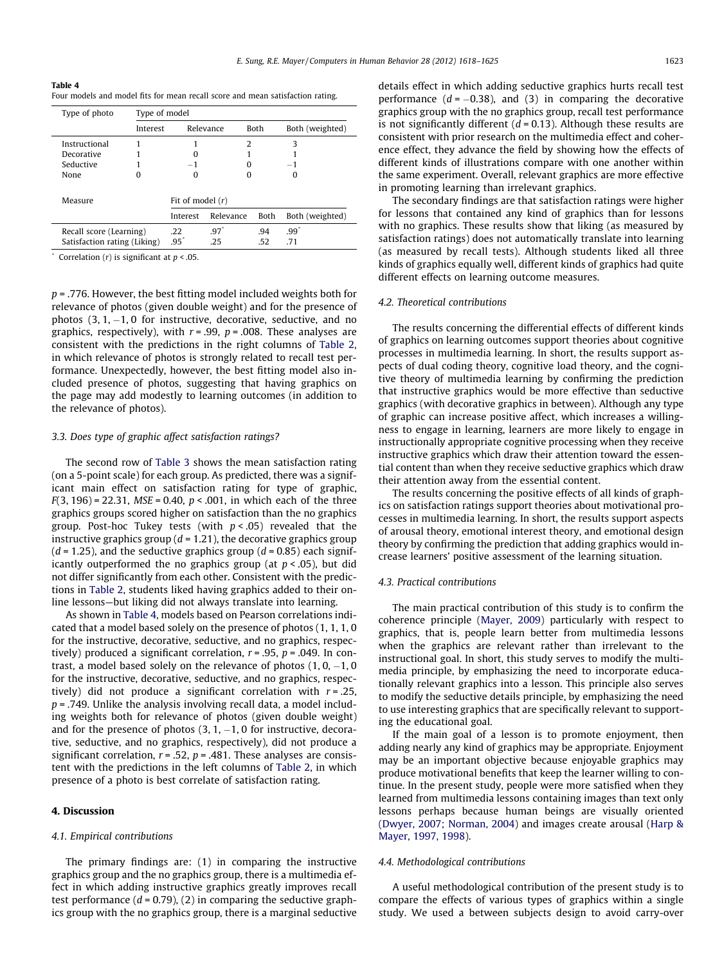#### Table 4

| Four models and model fits for mean recall score and mean satisfaction rating. |  |
|--------------------------------------------------------------------------------|--|
|--------------------------------------------------------------------------------|--|

| Type of photo                | Type of model |                          |           |                |                 |
|------------------------------|---------------|--------------------------|-----------|----------------|-----------------|
|                              | Interest      | Relevance<br><b>Both</b> |           |                | Both (weighted) |
| Instructional                |               |                          |           | $\overline{2}$ | 3               |
| Decorative                   |               |                          |           |                |                 |
| Seductive                    |               | $-1$                     |           | O              | -1              |
| None                         |               | O                        |           | O              |                 |
| Measure                      |               | Fit of model $(r)$       |           |                |                 |
|                              |               | Interest                 | Relevance | <b>Both</b>    | Both (weighted) |
| Recall score (Learning)      |               | .22                      | $.97*$    | .94            | $.99*$          |
| Satisfaction rating (Liking) |               | $.95^{\circ}$            | .25       | .52            | .71             |

\* Correlation  $(r)$  is significant at  $p < .05$ .

 $p = 0.776$ . However, the best fitting model included weights both for relevance of photos (given double weight) and for the presence of photos (3, 1, -1, 0 for instructive, decorative, seductive, and no graphics, respectively), with  $r = .99$ ,  $p = .008$ . These analyses are consistent with the predictions in the right columns of Table 2, in which relevance of photos is strongly related to recall test performance. Unexpectedly, however, the best fitting model also included presence of photos, suggesting that having graphics on the page may add modestly to learning outcomes (in addition to the relevance of photos).

## 3.3. Does type of graphic affect satisfaction ratings?

The second row of Table 3 shows the mean satisfaction rating (on a 5-point scale) for each group. As predicted, there was a significant main effect on satisfaction rating for type of graphic,  $F(3, 196) = 22.31$ ,  $MSE = 0.40$ ,  $p < .001$ , in which each of the three graphics groups scored higher on satisfaction than the no graphics group. Post-hoc Tukey tests (with  $p < .05$ ) revealed that the instructive graphics group ( $d = 1.21$ ), the decorative graphics group  $(d = 1.25)$ , and the seductive graphics group  $(d = 0.85)$  each significantly outperformed the no graphics group (at  $p < .05$ ), but did not differ significantly from each other. Consistent with the predictions in Table 2, students liked having graphics added to their online lessons—but liking did not always translate into learning.

As shown in Table 4, models based on Pearson correlations indicated that a model based solely on the presence of photos (1, 1, 1, 0 for the instructive, decorative, seductive, and no graphics, respectively) produced a significant correlation,  $r = .95$ ,  $p = .049$ . In contrast, a model based solely on the relevance of photos  $(1, 0, -1, 0)$ for the instructive, decorative, seductive, and no graphics, respectively) did not produce a significant correlation with  $r = .25$ ,  $p = .749$ . Unlike the analysis involving recall data, a model including weights both for relevance of photos (given double weight) and for the presence of photos  $(3, 1, -1, 0$  for instructive, decorative, seductive, and no graphics, respectively), did not produce a significant correlation,  $r = .52$ ,  $p = .481$ . These analyses are consistent with the predictions in the left columns of Table 2, in which presence of a photo is best correlate of satisfaction rating.

# 4. Discussion

## 4.1. Empirical contributions

The primary findings are: (1) in comparing the instructive graphics group and the no graphics group, there is a multimedia effect in which adding instructive graphics greatly improves recall test performance  $(d = 0.79)$ , (2) in comparing the seductive graphics group with the no graphics group, there is a marginal seductive details effect in which adding seductive graphics hurts recall test performance  $(d = -0.38)$ , and (3) in comparing the decorative graphics group with the no graphics group, recall test performance is not significantly different  $(d = 0.13)$ . Although these results are consistent with prior research on the multimedia effect and coherence effect, they advance the field by showing how the effects of different kinds of illustrations compare with one another within the same experiment. Overall, relevant graphics are more effective in promoting learning than irrelevant graphics.

The secondary findings are that satisfaction ratings were higher for lessons that contained any kind of graphics than for lessons with no graphics. These results show that liking (as measured by satisfaction ratings) does not automatically translate into learning (as measured by recall tests). Although students liked all three kinds of graphics equally well, different kinds of graphics had quite different effects on learning outcome measures.

## 4.2. Theoretical contributions

The results concerning the differential effects of different kinds of graphics on learning outcomes support theories about cognitive processes in multimedia learning. In short, the results support aspects of dual coding theory, cognitive load theory, and the cognitive theory of multimedia learning by confirming the prediction that instructive graphics would be more effective than seductive graphics (with decorative graphics in between). Although any type of graphic can increase positive affect, which increases a willingness to engage in learning, learners are more likely to engage in instructionally appropriate cognitive processing when they receive instructive graphics which draw their attention toward the essential content than when they receive seductive graphics which draw their attention away from the essential content.

The results concerning the positive effects of all kinds of graphics on satisfaction ratings support theories about motivational processes in multimedia learning. In short, the results support aspects of arousal theory, emotional interest theory, and emotional design theory by confirming the prediction that adding graphics would increase learners' positive assessment of the learning situation.

## 4.3. Practical contributions

The main practical contribution of this study is to confirm the coherence principle (Mayer, 2009) particularly with respect to graphics, that is, people learn better from multimedia lessons when the graphics are relevant rather than irrelevant to the instructional goal. In short, this study serves to modify the multimedia principle, by emphasizing the need to incorporate educationally relevant graphics into a lesson. This principle also serves to modify the seductive details principle, by emphasizing the need to use interesting graphics that are specifically relevant to supporting the educational goal.

If the main goal of a lesson is to promote enjoyment, then adding nearly any kind of graphics may be appropriate. Enjoyment may be an important objective because enjoyable graphics may produce motivational benefits that keep the learner willing to continue. In the present study, people were more satisfied when they learned from multimedia lessons containing images than text only lessons perhaps because human beings are visually oriented (Dwyer, 2007; Norman, 2004) and images create arousal (Harp & Mayer, 1997, 1998).

## 4.4. Methodological contributions

A useful methodological contribution of the present study is to compare the effects of various types of graphics within a single study. We used a between subjects design to avoid carry-over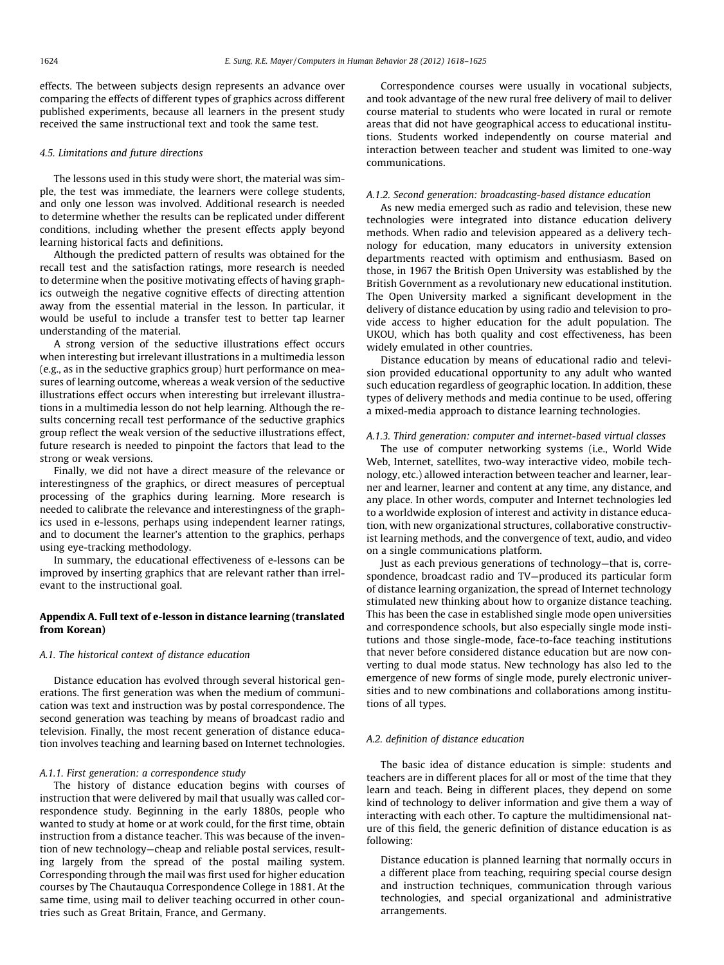effects. The between subjects design represents an advance over comparing the effects of different types of graphics across different published experiments, because all learners in the present study received the same instructional text and took the same test.

## 4.5. Limitations and future directions

The lessons used in this study were short, the material was simple, the test was immediate, the learners were college students, and only one lesson was involved. Additional research is needed to determine whether the results can be replicated under different conditions, including whether the present effects apply beyond learning historical facts and definitions.

Although the predicted pattern of results was obtained for the recall test and the satisfaction ratings, more research is needed to determine when the positive motivating effects of having graphics outweigh the negative cognitive effects of directing attention away from the essential material in the lesson. In particular, it would be useful to include a transfer test to better tap learner understanding of the material.

A strong version of the seductive illustrations effect occurs when interesting but irrelevant illustrations in a multimedia lesson (e.g., as in the seductive graphics group) hurt performance on measures of learning outcome, whereas a weak version of the seductive illustrations effect occurs when interesting but irrelevant illustrations in a multimedia lesson do not help learning. Although the results concerning recall test performance of the seductive graphics group reflect the weak version of the seductive illustrations effect, future research is needed to pinpoint the factors that lead to the strong or weak versions.

Finally, we did not have a direct measure of the relevance or interestingness of the graphics, or direct measures of perceptual processing of the graphics during learning. More research is needed to calibrate the relevance and interestingness of the graphics used in e-lessons, perhaps using independent learner ratings, and to document the learner's attention to the graphics, perhaps using eye-tracking methodology.

In summary, the educational effectiveness of e-lessons can be improved by inserting graphics that are relevant rather than irrelevant to the instructional goal.

# Appendix A. Full text of e-lesson in distance learning (translated from Korean)

## A.1. The historical context of distance education

Distance education has evolved through several historical generations. The first generation was when the medium of communication was text and instruction was by postal correspondence. The second generation was teaching by means of broadcast radio and television. Finally, the most recent generation of distance education involves teaching and learning based on Internet technologies.

## A.1.1. First generation: a correspondence study

The history of distance education begins with courses of instruction that were delivered by mail that usually was called correspondence study. Beginning in the early 1880s, people who wanted to study at home or at work could, for the first time, obtain instruction from a distance teacher. This was because of the invention of new technology—cheap and reliable postal services, resulting largely from the spread of the postal mailing system. Corresponding through the mail was first used for higher education courses by The Chautauqua Correspondence College in 1881. At the same time, using mail to deliver teaching occurred in other countries such as Great Britain, France, and Germany.

Correspondence courses were usually in vocational subjects, and took advantage of the new rural free delivery of mail to deliver course material to students who were located in rural or remote areas that did not have geographical access to educational institutions. Students worked independently on course material and interaction between teacher and student was limited to one-way communications.

#### A.1.2. Second generation: broadcasting-based distance education

As new media emerged such as radio and television, these new technologies were integrated into distance education delivery methods. When radio and television appeared as a delivery technology for education, many educators in university extension departments reacted with optimism and enthusiasm. Based on those, in 1967 the British Open University was established by the British Government as a revolutionary new educational institution. The Open University marked a significant development in the delivery of distance education by using radio and television to provide access to higher education for the adult population. The UKOU, which has both quality and cost effectiveness, has been widely emulated in other countries.

Distance education by means of educational radio and television provided educational opportunity to any adult who wanted such education regardless of geographic location. In addition, these types of delivery methods and media continue to be used, offering a mixed-media approach to distance learning technologies.

## A.1.3. Third generation: computer and internet-based virtual classes

The use of computer networking systems (i.e., World Wide Web, Internet, satellites, two-way interactive video, mobile technology, etc.) allowed interaction between teacher and learner, learner and learner, learner and content at any time, any distance, and any place. In other words, computer and Internet technologies led to a worldwide explosion of interest and activity in distance education, with new organizational structures, collaborative constructivist learning methods, and the convergence of text, audio, and video on a single communications platform.

Just as each previous generations of technology—that is, correspondence, broadcast radio and TV—produced its particular form of distance learning organization, the spread of Internet technology stimulated new thinking about how to organize distance teaching. This has been the case in established single mode open universities and correspondence schools, but also especially single mode institutions and those single-mode, face-to-face teaching institutions that never before considered distance education but are now converting to dual mode status. New technology has also led to the emergence of new forms of single mode, purely electronic universities and to new combinations and collaborations among institutions of all types.

## A.2. definition of distance education

The basic idea of distance education is simple: students and teachers are in different places for all or most of the time that they learn and teach. Being in different places, they depend on some kind of technology to deliver information and give them a way of interacting with each other. To capture the multidimensional nature of this field, the generic definition of distance education is as following:

Distance education is planned learning that normally occurs in a different place from teaching, requiring special course design and instruction techniques, communication through various technologies, and special organizational and administrative arrangements.